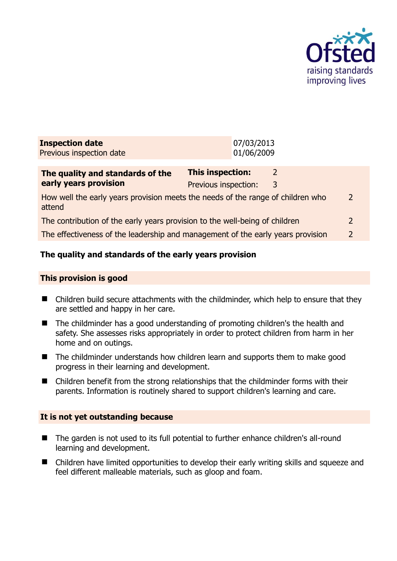

| <b>Inspection date</b><br>Previous inspection date                                        |                                                 | 07/03/2013<br>01/06/2009 |                    |                |
|-------------------------------------------------------------------------------------------|-------------------------------------------------|--------------------------|--------------------|----------------|
| The quality and standards of the<br>early years provision                                 | <b>This inspection:</b><br>Previous inspection: |                          | $\mathcal{L}$<br>3 |                |
| How well the early years provision meets the needs of the range of children who<br>attend |                                                 |                          |                    | 2              |
| The contribution of the early years provision to the well-being of children               |                                                 |                          | 2                  |                |
| The effectiveness of the leadership and management of the early years provision           |                                                 |                          |                    | $\overline{2}$ |
|                                                                                           |                                                 |                          |                    |                |

## **The quality and standards of the early years provision**

#### **This provision is good**

- Children build secure attachments with the childminder, which help to ensure that they are settled and happy in her care.
- The childminder has a good understanding of promoting children's the health and safety. She assesses risks appropriately in order to protect children from harm in her home and on outings.
- The childminder understands how children learn and supports them to make good progress in their learning and development.
- Children benefit from the strong relationships that the childminder forms with their parents. Information is routinely shared to support children's learning and care.

#### **It is not yet outstanding because**

- The garden is not used to its full potential to further enhance children's all-round learning and development.
- Children have limited opportunities to develop their early writing skills and squeeze and feel different malleable materials, such as gloop and foam.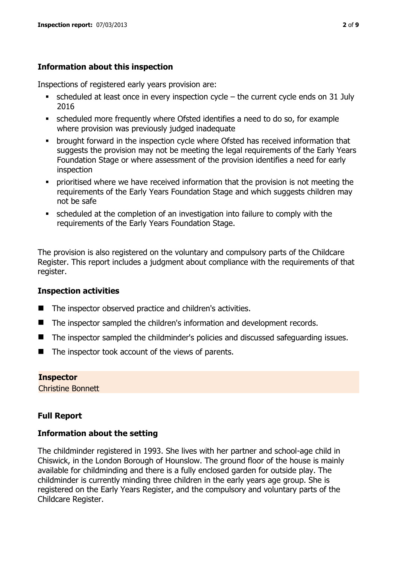## **Information about this inspection**

Inspections of registered early years provision are:

- scheduled at least once in every inspection cycle the current cycle ends on 31 July 2016
- scheduled more frequently where Ofsted identifies a need to do so, for example where provision was previously judged inadequate
- **•** brought forward in the inspection cycle where Ofsted has received information that suggests the provision may not be meeting the legal requirements of the Early Years Foundation Stage or where assessment of the provision identifies a need for early inspection
- **•** prioritised where we have received information that the provision is not meeting the requirements of the Early Years Foundation Stage and which suggests children may not be safe
- scheduled at the completion of an investigation into failure to comply with the requirements of the Early Years Foundation Stage.

The provision is also registered on the voluntary and compulsory parts of the Childcare Register. This report includes a judgment about compliance with the requirements of that register.

## **Inspection activities**

- The inspector observed practice and children's activities.
- The inspector sampled the children's information and development records.
- The inspector sampled the childminder's policies and discussed safeguarding issues.
- $\blacksquare$  The inspector took account of the views of parents.

## **Inspector**

Christine Bonnett

## **Full Report**

#### **Information about the setting**

The childminder registered in 1993. She lives with her partner and school-age child in Chiswick, in the London Borough of Hounslow. The ground floor of the house is mainly available for childminding and there is a fully enclosed garden for outside play. The childminder is currently minding three children in the early years age group. She is registered on the Early Years Register, and the compulsory and voluntary parts of the Childcare Register.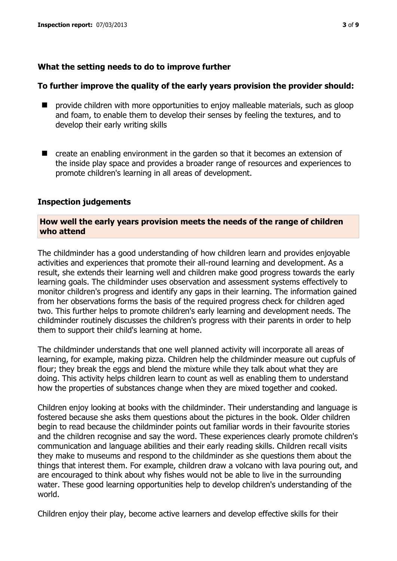#### **What the setting needs to do to improve further**

#### **To further improve the quality of the early years provision the provider should:**

- $\blacksquare$  provide children with more opportunities to enjoy malleable materials, such as gloop and foam, to enable them to develop their senses by feeling the textures, and to develop their early writing skills
- create an enabling environment in the garden so that it becomes an extension of the inside play space and provides a broader range of resources and experiences to promote children's learning in all areas of development.

#### **Inspection judgements**

#### **How well the early years provision meets the needs of the range of children who attend**

The childminder has a good understanding of how children learn and provides enjoyable activities and experiences that promote their all-round learning and development. As a result, she extends their learning well and children make good progress towards the early learning goals. The childminder uses observation and assessment systems effectively to monitor children's progress and identify any gaps in their learning. The information gained from her observations forms the basis of the required progress check for children aged two. This further helps to promote children's early learning and development needs. The childminder routinely discusses the children's progress with their parents in order to help them to support their child's learning at home.

The childminder understands that one well planned activity will incorporate all areas of learning, for example, making pizza. Children help the childminder measure out cupfuls of flour; they break the eggs and blend the mixture while they talk about what they are doing. This activity helps children learn to count as well as enabling them to understand how the properties of substances change when they are mixed together and cooked.

Children enjoy looking at books with the childminder. Their understanding and language is fostered because she asks them questions about the pictures in the book. Older children begin to read because the childminder points out familiar words in their favourite stories and the children recognise and say the word. These experiences clearly promote children's communication and language abilities and their early reading skills. Children recall visits they make to museums and respond to the childminder as she questions them about the things that interest them. For example, children draw a volcano with lava pouring out, and are encouraged to think about why fishes would not be able to live in the surrounding water. These good learning opportunities help to develop children's understanding of the world.

Children enjoy their play, become active learners and develop effective skills for their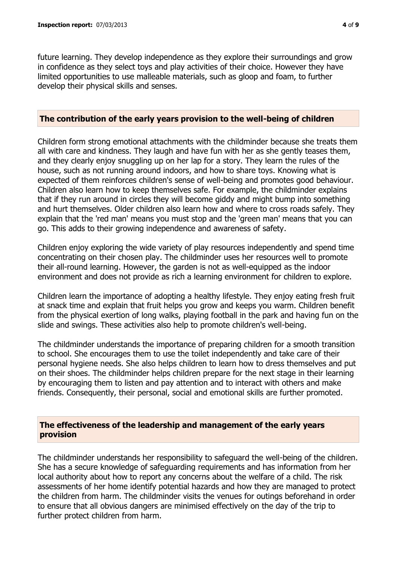future learning. They develop independence as they explore their surroundings and grow in confidence as they select toys and play activities of their choice. However they have limited opportunities to use malleable materials, such as gloop and foam, to further develop their physical skills and senses.

#### **The contribution of the early years provision to the well-being of children**

Children form strong emotional attachments with the childminder because she treats them all with care and kindness. They laugh and have fun with her as she gently teases them, and they clearly enjoy snuggling up on her lap for a story. They learn the rules of the house, such as not running around indoors, and how to share toys. Knowing what is expected of them reinforces children's sense of well-being and promotes good behaviour. Children also learn how to keep themselves safe. For example, the childminder explains that if they run around in circles they will become giddy and might bump into something and hurt themselves. Older children also learn how and where to cross roads safely. They explain that the 'red man' means you must stop and the 'green man' means that you can go. This adds to their growing independence and awareness of safety.

Children enjoy exploring the wide variety of play resources independently and spend time concentrating on their chosen play. The childminder uses her resources well to promote their all-round learning. However, the garden is not as well-equipped as the indoor environment and does not provide as rich a learning environment for children to explore.

Children learn the importance of adopting a healthy lifestyle. They enjoy eating fresh fruit at snack time and explain that fruit helps you grow and keeps you warm. Children benefit from the physical exertion of long walks, playing football in the park and having fun on the slide and swings. These activities also help to promote children's well-being.

The childminder understands the importance of preparing children for a smooth transition to school. She encourages them to use the toilet independently and take care of their personal hygiene needs. She also helps children to learn how to dress themselves and put on their shoes. The childminder helps children prepare for the next stage in their learning by encouraging them to listen and pay attention and to interact with others and make friends. Consequently, their personal, social and emotional skills are further promoted.

#### **The effectiveness of the leadership and management of the early years provision**

The childminder understands her responsibility to safeguard the well-being of the children. She has a secure knowledge of safeguarding requirements and has information from her local authority about how to report any concerns about the welfare of a child. The risk assessments of her home identify potential hazards and how they are managed to protect the children from harm. The childminder visits the venues for outings beforehand in order to ensure that all obvious dangers are minimised effectively on the day of the trip to further protect children from harm.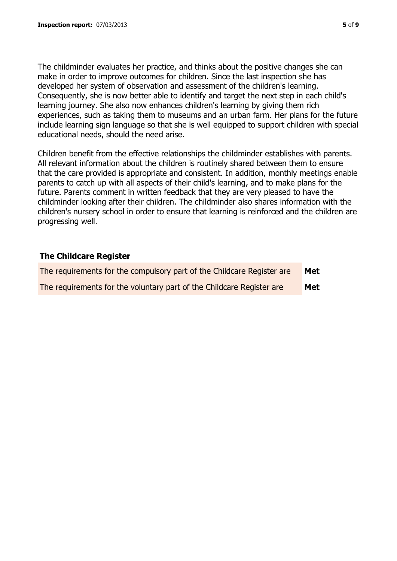The childminder evaluates her practice, and thinks about the positive changes she can make in order to improve outcomes for children. Since the last inspection she has developed her system of observation and assessment of the children's learning. Consequently, she is now better able to identify and target the next step in each child's learning journey. She also now enhances children's learning by giving them rich experiences, such as taking them to museums and an urban farm. Her plans for the future include learning sign language so that she is well equipped to support children with special educational needs, should the need arise.

Children benefit from the effective relationships the childminder establishes with parents. All relevant information about the children is routinely shared between them to ensure that the care provided is appropriate and consistent. In addition, monthly meetings enable parents to catch up with all aspects of their child's learning, and to make plans for the future. Parents comment in written feedback that they are very pleased to have the childminder looking after their children. The childminder also shares information with the children's nursery school in order to ensure that learning is reinforced and the children are progressing well.

#### **The Childcare Register**

| The requirements for the compulsory part of the Childcare Register are | Met |
|------------------------------------------------------------------------|-----|
| The requirements for the voluntary part of the Childcare Register are  | Met |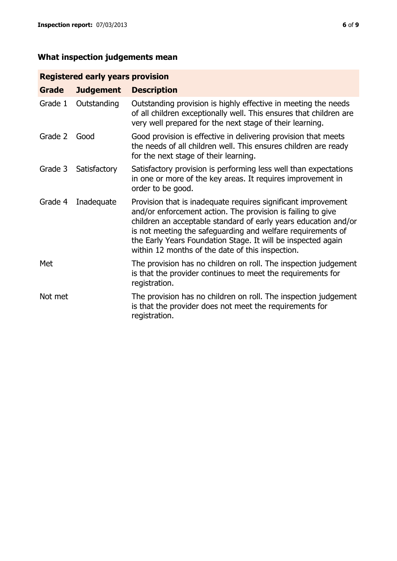# **What inspection judgements mean**

## **Registered early years provision**

| <b>Grade</b> | <b>Judgement</b> | <b>Description</b>                                                                                                                                                                                                                                                                                                                                                                 |
|--------------|------------------|------------------------------------------------------------------------------------------------------------------------------------------------------------------------------------------------------------------------------------------------------------------------------------------------------------------------------------------------------------------------------------|
| Grade 1      | Outstanding      | Outstanding provision is highly effective in meeting the needs<br>of all children exceptionally well. This ensures that children are<br>very well prepared for the next stage of their learning.                                                                                                                                                                                   |
| Grade 2      | Good             | Good provision is effective in delivering provision that meets<br>the needs of all children well. This ensures children are ready<br>for the next stage of their learning.                                                                                                                                                                                                         |
| Grade 3      | Satisfactory     | Satisfactory provision is performing less well than expectations<br>in one or more of the key areas. It requires improvement in<br>order to be good.                                                                                                                                                                                                                               |
| Grade 4      | Inadequate       | Provision that is inadequate requires significant improvement<br>and/or enforcement action. The provision is failing to give<br>children an acceptable standard of early years education and/or<br>is not meeting the safeguarding and welfare requirements of<br>the Early Years Foundation Stage. It will be inspected again<br>within 12 months of the date of this inspection. |
| Met          |                  | The provision has no children on roll. The inspection judgement<br>is that the provider continues to meet the requirements for<br>registration.                                                                                                                                                                                                                                    |
| Not met      |                  | The provision has no children on roll. The inspection judgement<br>is that the provider does not meet the requirements for<br>registration.                                                                                                                                                                                                                                        |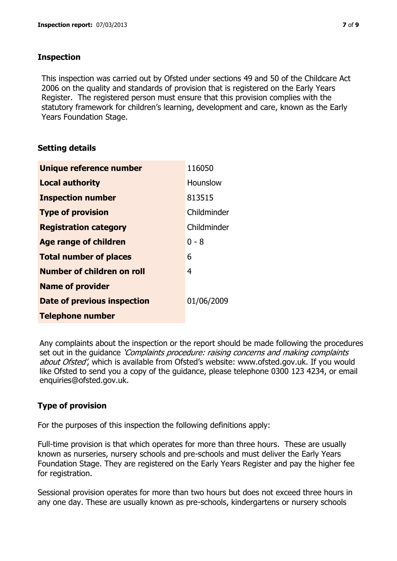## **Inspection**

This inspection was carried out by Ofsted under sections 49 and 50 of the Childcare Act 2006 on the quality and standards of provision that is registered on the Early Years Register. The registered person must ensure that this provision complies with the statutory framework for children's learning, development and care, known as the Early Years Foundation Stage.

## **Setting details**

| Unique reference number       | 116050      |
|-------------------------------|-------------|
| <b>Local authority</b>        | Hounslow    |
| <b>Inspection number</b>      | 813515      |
| <b>Type of provision</b>      | Childminder |
| <b>Registration category</b>  | Childminder |
| <b>Age range of children</b>  | $0 - 8$     |
| <b>Total number of places</b> | 6           |
| Number of children on roll    | 4           |
| <b>Name of provider</b>       |             |
| Date of previous inspection   | 01/06/2009  |
| <b>Telephone number</b>       |             |

Any complaints about the inspection or the report should be made following the procedures set out in the guidance *'Complaints procedure: raising concerns and making complaints* about Ofsted', which is available from Ofsted's website: www.ofsted.gov.uk. If you would like Ofsted to send you a copy of the guidance, please telephone 0300 123 4234, or email enquiries@ofsted.gov.uk.

## **Type of provision**

For the purposes of this inspection the following definitions apply:

Full-time provision is that which operates for more than three hours. These are usually known as nurseries, nursery schools and pre-schools and must deliver the Early Years Foundation Stage. They are registered on the Early Years Register and pay the higher fee for registration.

Sessional provision operates for more than two hours but does not exceed three hours in any one day. These are usually known as pre-schools, kindergartens or nursery schools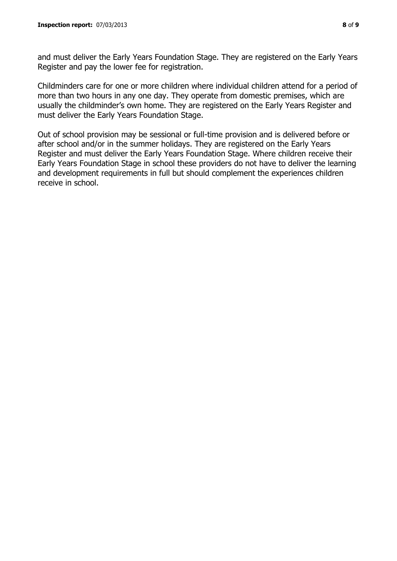and must deliver the Early Years Foundation Stage. They are registered on the Early Years Register and pay the lower fee for registration.

Childminders care for one or more children where individual children attend for a period of more than two hours in any one day. They operate from domestic premises, which are usually the childminder's own home. They are registered on the Early Years Register and must deliver the Early Years Foundation Stage.

Out of school provision may be sessional or full-time provision and is delivered before or after school and/or in the summer holidays. They are registered on the Early Years Register and must deliver the Early Years Foundation Stage. Where children receive their Early Years Foundation Stage in school these providers do not have to deliver the learning and development requirements in full but should complement the experiences children receive in school.